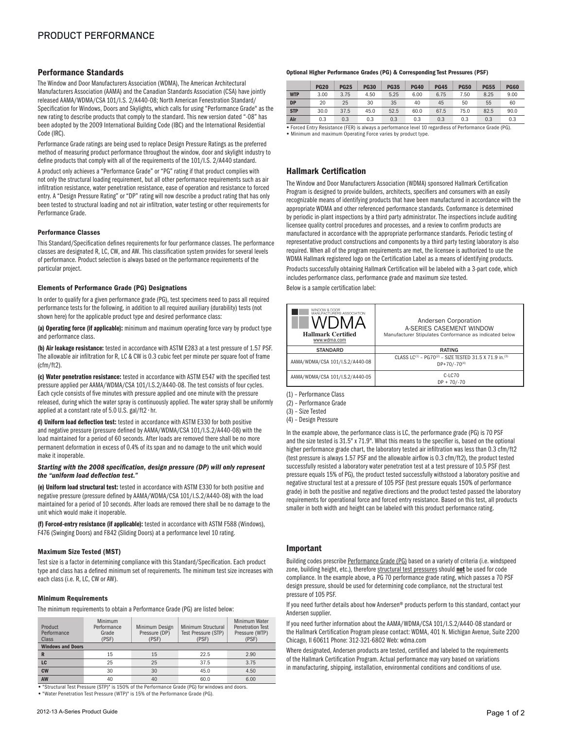## Performance Standards

The Window and Door Manufacturers Association (WDMA), The American Architectural Manufacturers Association (AAMA) and the Canadian Standards Association (CSA) have jointly released AAMA/WDMA/CSA 101/I.S. 2/A440-08; North American Fenestration Standard/ Specification for Windows, Doors and Skylights, which calls for using "Performance Grade" as the new rating to describe products that comply to the standard. This new version dated "-08" has been adopted by the 2009 International Building Code (IBC) and the International Residential Code (IRC).

Performance Grade ratings are being used to replace Design Pressure Ratings as the preferred method of measuring product performance throughout the window, door and skylight industry to define products that comply with all of the requirements of the 101/I.S. 2/A440 standard.

A product only achieves a "Performance Grade" or "PG" rating if that product complies with not only the structural loading requirement, but all other performance requirements such as air infiltration resistance, water penetration resistance, ease of operation and resistance to forced entry. A "Design Pressure Rating" or "DP" rating will now describe a product rating that has only been tested to structural loading and not air infiltration, water testing or other requirements for Performance Grade.

#### Performance Classes

This Standard/Specification defines requirements for four performance classes. The performance classes are designated R, LC, CW, and AW. This classification system provides for several levels of performance. Product selection is always based on the performance requirements of the particular project.

#### Elements of Performance Grade (PG) Designations

In order to qualify for a given performance grade (PG), test specimens need to pass all required performance tests for the following, in addition to all required auxiliary (durability) tests (not shown here) for the applicable product type and desired performance class:

(a) Operating force (if applicable): minimum and maximum operating force vary by product type and performance class.

(b) Air leakage resistance: tested in accordance with ASTM E283 at a test pressure of 1.57 PSF. The allowable air infiltration for R, LC & CW is 0.3 cubic feet per minute per square foot of frame (cfm/ft2).

(c) Water penetration resistance: tested in accordance with ASTM E547 with the specified test pressure applied per AAMA/WDMA/CSA 101/I.S.2/A440-08. The test consists of four cycles. Each cycle consists of five minutes with pressure applied and one minute with the pressure released, during which the water spray is continuously applied. The water spray shall be uniformly applied at a constant rate of 5.0 U.S. gal/ft2 • hr.

d) Uniform load deflection test: tested in accordance with ASTM E330 for both positive and negative pressure (pressure defined by AAMA/WDMA/CSA 101/I.S.2/A440-08) with the load maintained for a period of 60 seconds. After loads are removed there shall be no more permanent deformation in excess of 0.4% of its span and no damage to the unit which would make it inoperable.

#### *Starting with the 2008 specification, design pressure (DP) will only represent the "uniform load deflection test."*

(e) Uniform load structural test: tested in accordance with ASTM E330 for both positive and negative pressure (pressure defined by AAMA/WDMA/CSA 101/I.S.2/A440-08) with the load maintained for a period of 10 seconds. After loads are removed there shall be no damage to the unit which would make it inoperable.

(f) Forced-entry resistance (if applicable): tested in accordance with ASTM F588 (Windows), F476 (Swinging Doors) and F842 (Sliding Doors) at a performance level 10 rating.

#### Maximum Size Tested (MST)

Test size is a factor in determining compliance with this Standard/Specification. Each product type and class has a defined minimum set of requirements. The minimum test size increases with each class (i.e. R, LC, CW or AW).

#### Minimum Requirements

The minimum requirements to obtain a Performance Grade (PG) are listed below:

| Product<br>Performance<br>Class | Minimum<br>Performance<br>Grade<br>(PSF) | Minimum Design<br>Pressure (DP)<br>(PSF) | Minimum Structural<br>Test Pressure (STP)<br>(PSF) | Minimum Water<br><b>Penetration Test</b><br>Pressure (WTP)<br>(PSF) |  |  |
|---------------------------------|------------------------------------------|------------------------------------------|----------------------------------------------------|---------------------------------------------------------------------|--|--|
| <b>Windows and Doors</b>        |                                          |                                          |                                                    |                                                                     |  |  |
| R                               | 15                                       | 15                                       | 22.5                                               | 2.90                                                                |  |  |
| LC                              | 25                                       | 25                                       | 37.5                                               | 3.75                                                                |  |  |
| <b>CW</b>                       | 30                                       | 30                                       | 45.0                                               | 4.50                                                                |  |  |
| <b>AW</b>                       | 40                                       | 40                                       | 60.0                                               | 6.00                                                                |  |  |

**•** "Structural Test Pressure (STP)" is 150% of the Performance Grade (PG) for windows and doors.

**•** "Water Penetration Test Pressure (WTP)" is 15% of the Performance Grade (PG).

#### Optional Higher Performance Grades (PG) & Corresponding Test Pressures (PSF)

|                                                                                                       | <b>PG20</b> | <b>PG25</b> | <b>PG30</b> | <b>PG35</b> | <b>PG40</b> | <b>PG45</b> | <b>PG50</b> | <b>PG55</b> | <b>PG60</b> |
|-------------------------------------------------------------------------------------------------------|-------------|-------------|-------------|-------------|-------------|-------------|-------------|-------------|-------------|
| <b>WTP</b>                                                                                            | 3.00        | 3.75        | 4.50        | 5.25        | 6.00        | 6.75        | 7.50        | 8.25        | 9.00        |
| <b>DP</b>                                                                                             | 20          | 25          | 30          | 35          | 40          | 45          | 50          | 55          | 60          |
| <b>STP</b>                                                                                            | 30.0        | 37.5        | 45.0        | 52.5        | 60.0        | 67.5        | 75.0        | 82.5        | 90.0        |
| Air                                                                                                   | 0.3         | 0.3         | 0.3         | 0.3         | 0.3         | 0.3         | 0.3         | 0.3         | 0.3         |
| · Earned Entry Peristance (EED) is always a norformance lovel 10 regardless of Performance Crade (PC) |             |             |             |             |             |             |             |             |             |

**•** Forced Entry Resistance (FER) is always a performance level 10 regardless of Performance Grade (PG). **•** Minimum and maximum Operating Force varies by product type.

## Hallmark Certification

The Window and Door Manufacturers Association (WDMA) sponsored Hallmark Certification Program is designed to provide builders, architects, specifiers and consumers with an easily recognizable means of identifying products that have been manufactured in accordance with the appropriate WDMA and other referenced performance standards. Conformance is determined by periodic in-plant inspections by a third party administrator. The inspections include auditing licensee quality control procedures and processes, and a review to confirm products are manufactured in accordance with the appropriate performance standards. Periodic testing of representative product constructions and components by a third party testing laboratory is also required. When all of the program requirements are met, the licensee is authorized to use the WDMA Hallmark registered logo on the Certification Label as a means of identifying products.

Products successfully obtaining Hallmark Certification will be labeled with a 3-part code, which includes performance class, performance grade and maximum size tested.

Below is a sample certification label:

| WINDOW & DOOR<br>MANUFACTURERS ASSOCIATION<br><b>Hallmark Certified</b><br>www.wdma.com | Andersen Corporation<br>A-SERIES CASEMENT WINDOW<br>Manufacturer Stipulates Conformance as indicated below |  |  |  |
|-----------------------------------------------------------------------------------------|------------------------------------------------------------------------------------------------------------|--|--|--|
| <b>STANDARD</b>                                                                         | <b>RATING</b>                                                                                              |  |  |  |
| AAMA/WDMA/CSA 101/I.S.2/A440-08                                                         | CLASS $LC^{(1)}$ - PG70 <sup>(2)</sup> - SIZE TESTED 31.5 X 71.9 in. <sup>(3)</sup><br>$DP+70/-70^{(4)}$   |  |  |  |
| AAMA/WDMA/CSA 101/I.S.2/A440-05                                                         | C-LC70<br>$DP + 70/-70$                                                                                    |  |  |  |

(1) – Performance Class

(2) – Performance Grade

(3) – Size Tested

(4) – Design Pressure

In the example above, the performance class is LC, the performance grade (PG) is 70 PSF and the size tested is 31.5" x 71.9". What this means to the specifier is, based on the optional higher performance grade chart, the laboratory tested air infiltration was less than 0.3 cfm/ft2 (test pressure is always 1.57 PSF and the allowable airflow is 0.3 cfm/ft2), the product tested successfully resisted a laboratory water penetration test at a test pressure of 10.5 PSF (test pressure equals 15% of PG), the product tested successfully withstood a laboratory positive and negative structural test at a pressure of 105 PSF (test pressure equals 150% of performance grade) in both the positive and negative directions and the product tested passed the laboratory requirements for operational force and forced entry resistance. Based on this test, all products smaller in both width and height can be labeled with this product performance rating.

#### Important

Building codes prescribe Performance Grade (PG) based on a variety of criteria (i.e. windspeed zone, building height, etc.), therefore structural test pressures should not be used for code compliance. In the example above, a PG 70 performance grade rating, which passes a 70 PSF design pressure, should be used for determining code compliance, not the structural test pressure of 105 PSF.

If you need further details about how Andersen® products perform to this standard, contact your Andersen supplier.

If you need further information about the AAMA/WDMA/CSA 101/I.S.2/A440-08 standard or the Hallmark Certification Program please contact: WDMA, 401 N. Michigan Avenue, Suite 2200 Chicago, Il 60611 Phone: 312-321-6802 Web: wdma.com

Where designated, Andersen products are tested, certified and labeled to the requirements of the Hallmark Certification Program. Actual performance may vary based on variations in manufacturing, shipping, installation, environmental conditions and conditions of use.